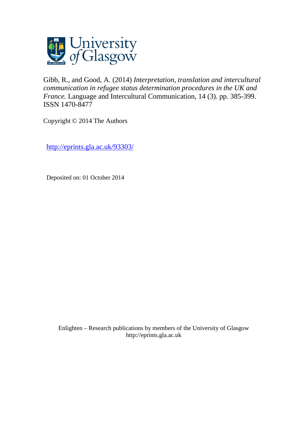

[Gibb, R.,](http://eprints.gla.ac.uk/view/author/10282.html) and Good, A. (2014) *Interpretation, translation and intercultural communication in refugee status determination procedures in the UK and France.* [Language and Intercultural Communication,](http://eprints.gla.ac.uk/view/journal_volume/Language_and_Intercultural_Communication.html) 14 (3). pp. 385-399. ISSN 1470-8477

Copyright © 2014 The Authors

<http://eprints.gla.ac.uk/93303/>

Deposited on: 01 October 2014

Enlighten – Research publications by members of the University of Glasgo[w](http://eprints.gla.ac.uk/) [http://eprints.gla.ac.uk](http://eprints.gla.ac.uk/)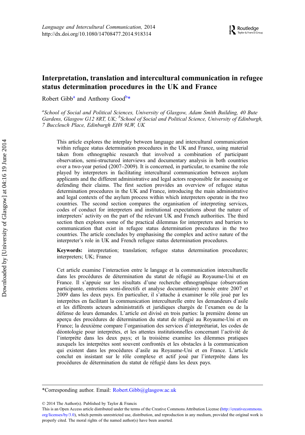# Interpretation, translation and intercultural communication in refugee status determination procedures in the UK and France

Robert Gibb<sup>a</sup> and Anthony Good<sup>b\*</sup>

<sup>a</sup>School of Social and Political Sciences, University of Glasgow, Adam Smith Building, 40 Bute Gardens, Glasgow G12 8RT, UK; <sup>b</sup>School of Social and Political Science, University of Edinburgh, 7 Buccleuch Place, Edinburgh EH8 9LW, UK

This article explores the interplay between language and intercultural communication within refugee status determination procedures in the UK and France, using material taken from ethnographic research that involved a combination of participant observation, semi-structured interviews and documentary analysis in both countries over a two-year period (2007–2009). It is concerned, in particular, to examine the role played by interpreters in facilitating intercultural communication between asylum applicants and the different administrative and legal actors responsible for assessing or defending their claims. The first section provides an overview of refugee status determination procedures in the UK and France, introducing the main administrative and legal contexts of the asylum process within which interpreters operate in the two countries. The second section compares the organisation of interpreting services, codes of conduct for interpreters and institutional expectations about the nature of interpreters' activity on the part of the relevant UK and French authorities. The third section then explores some of the practical dilemmas for interpreters and barriers to communication that exist in refugee status determination procedures in the two countries. The article concludes by emphasising the complex and active nature of the interpreter's role in UK and French refugee status determination procedures.

Keywords: interpretation; translation; refugee status determination procedures; interpreters; UK; France

Cet article examine l'interaction entre le langage et la communication interculturelle dans les procédures de détermination du statut de réfugié au Royaume-Uni et en France. Il s'appuie sur les résultats d'une recherche ethnographique (observation participante, entretiens semi-directifs et analyse documentaire) menée entre 2007 et 2009 dans les deux pays. En particulier, il s'attache à examiner le rôle joué par les interprètes en facilitant la communication interculturelle entre les demandeurs d'asile et les différents acteurs administratifs et juridiques chargés de l'examen ou de la défense de leurs demandes. L'article est divisé en trois parties: la première donne un aperçu des procédures de détermination du statut de réfugié au Royaume-Uni et en France; la deuxième compare l'organisation des services d'interprétariat, les codes de déontologie pour interprètes, et les attentes institutionnelles concernant l'activité de l'interprète dans les deux pays; et la troisième examine les dilemmes pratiques auxquels les interprètes sont souvent confrontés et les obstacles à la communication qui existent dans les procédures d'asile au Royaume-Uni et en France. L'article conclut en insistant sur le rôle complexe et actif joué par l'interprète dans les procédures de détermination du statut de réfugié dans les deux pays.

© 2014 The Author(s). Published by Taylor & Francis

This is an Open Access article distributed under the terms of the Creative Commons Attribution License [\(http://creativecommons.](http://creativecommons.org/licenses/by/3.0) [org/licenses/by/3.0](http://creativecommons.org/licenses/by/3.0)), which permits unrestricted use, distribution, and reproduction in any medium, provided the original work is properly cited. The moral rights of the named author(s) have been asserted.

<sup>\*</sup>Corresponding author. Email: [Robert.Gibb@glasgow.ac.uk](mailto:Robert.Gibb@glasgow.ac.uk)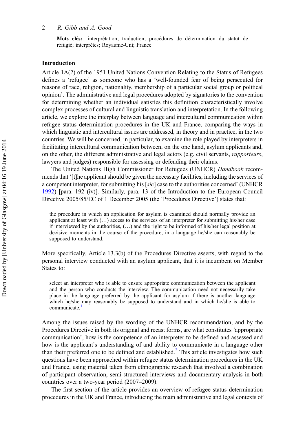#### 2 R. Gibb and A. Good

Mots clés: interprétation; traduction; procédures de détermination du statut de réfugié; interprètes; Royaume-Uni; France

# Introduction

Article 1A(2) of the 1951 United Nations Convention Relating to the Status of Refugees defines a 'refugee' as someone who has a 'well-founded fear of being persecuted for reasons of race, religion, nationality, membership of a particular social group or political opinion'. The administrative and legal procedures adopted by signatories to the convention for determining whether an individual satisfies this definition characteristically involve complex processes of cultural and linguistic translation and interpretation. In the following article, we explore the interplay between language and intercultural communication within refugee status determination procedures in the UK and France, comparing the ways in which linguistic and intercultural issues are addressed, in theory and in practice, in the two countries. We will be concerned, in particular, to examine the role played by interpreters in facilitating intercultural communication between, on the one hand, asylum applicants and, on the other, the different administrative and legal actors (e.g. civil servants, rapporteurs, lawyers and judges) responsible for assessing or defending their claims.

The United Nations High Commissioner for Refugees (UNHCR) Handbook recommends that '[t]he applicant should be given the necessary facilities, including the services of a competent interpreter, for submitting his [sic] case to the authorities concerned' (UNHCR [1992\)](#page-15-0) [para. 192 (iv)]. Similarly, para. 13 of the Introduction to the European Council Directive 2005/85/EC of 1 December 2005 (the 'Procedures Directive') states that:

the procedure in which an application for asylum is examined should normally provide an applicant at least with (…) access to the services of an interpreter for submitting his/her case if interviewed by the authorities, (…) and the right to be informed of his/her legal position at decisive moments in the course of the procedure, in a language he/she can reasonably be supposed to understand.

More specifically, Article 13.3(b) of the Procedures Directive asserts, with regard to the personal interview conducted with an asylum applicant, that it is incumbent on Member States to:

select an interpreter who is able to ensure appropriate communication between the applicant and the person who conducts the interview. The communication need not necessarily take place in the language preferred by the applicant for asylum if there is another language which he/she may reasonably be supposed to understand and in which he/she is able to communicate.<sup>[1](#page-12-0)</sup>

Among the issues raised by the wording of the UNHCR recommendation, and by the Procedures Directive in both its original and recast forms, are what constitutes 'appropriate communication', how is the competence of an interpreter to be defined and assessed and how is the applicant's understanding of and ability to communicate in a language other than their preferred one to be defined and established.<sup>[2](#page-12-0)</sup> This article investigates how such questions have been approached within refugee status determination procedures in the UK and France, using material taken from ethnographic research that involved a combination of participant observation, semi-structured interviews and documentary analysis in both countries over a two-year period (2007–2009).

The first section of the article provides an overview of refugee status determination procedures in the UK and France, introducing the main administrative and legal contexts of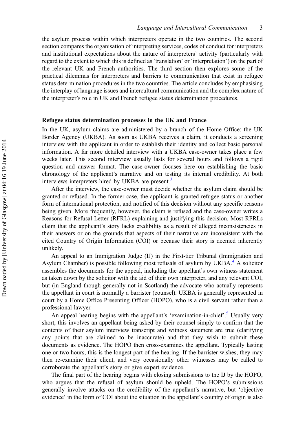the asylum process within which interpreters operate in the two countries. The second section compares the organisation of interpreting services, codes of conduct for interpreters and institutional expectations about the nature of interpreters' activity (particularly with regard to the extent to which this is defined as 'translation' or 'interpretation') on the part of the relevant UK and French authorities. The third section then explores some of the practical dilemmas for interpreters and barriers to communication that exist in refugee status determination procedures in the two countries. The article concludes by emphasising the interplay of language issues and intercultural communication and the complex nature of the interpreter's role in UK and French refugee status determination procedures.

#### Refugee status determination processes in the UK and France

In the UK, asylum claims are administered by a branch of the Home Office: the UK Border Agency (UKBA). As soon as UKBA receives a claim, it conducts a screening interview with the applicant in order to establish their identity and collect basic personal information. A far more detailed interview with a UKBA case-owner takes place a few weeks later. This second interview usually lasts for several hours and follows a rigid question and answer format. The case-owner focuses here on establishing the basic chronology of the applicant's narrative and on testing its internal credibility. At both interviews interpreters hired by UKBA are present.<sup>[3](#page-12-0)</sup>

After the interview, the case-owner must decide whether the asylum claim should be granted or refused. In the former case, the applicant is granted refugee status or another form of international protection, and notified of this decision without any specific reasons being given. More frequently, however, the claim is refused and the case-owner writes a Reasons for Refusal Letter (RFRL) explaining and justifying this decision. Most RFRLs claim that the applicant's story lacks credibility as a result of alleged inconsistencies in their answers or on the grounds that aspects of their narrative are inconsistent with the cited Country of Origin Information (COI) or because their story is deemed inherently unlikely.

An appeal to an Immigration Judge (IJ) in the First-tier Tribunal (Immigration and Asylum Chamber) is possible following most refusals of asylum by UKBA.<sup>[4](#page-13-0)</sup> A solicitor assembles the documents for the appeal, including the appellant's own witness statement as taken down by the solicitor with the aid of their own interpreter, and any relevant COI, but (in England though generally not in Scotland) the advocate who actually represents the appellant in court is normally a barrister (counsel). UKBA is generally represented in court by a Home Office Presenting Officer (HOPO), who is a civil servant rather than a professional lawyer.

An appeal hearing begins with the appellant's 'examination-in-chief'.<sup>[5](#page-13-0)</sup> Usually very short, this involves an appellant being asked by their counsel simply to confirm that the contents of their asylum interview transcript and witness statement are true (clarifying any points that are claimed to be inaccurate) and that they wish to submit these documents as evidence. The HOPO then cross-examines the appellant. Typically lasting one or two hours, this is the longest part of the hearing. If the barrister wishes, they may then re-examine their client, and very occasionally other witnesses may be called to corroborate the appellant's story or give expert evidence.

The final part of the hearing begins with closing submissions to the IJ by the HOPO, who argues that the refusal of asylum should be upheld. The HOPO's submissions generally involve attacks on the credibility of the appellant's narrative, but 'objective evidence' in the form of COI about the situation in the appellant's country of origin is also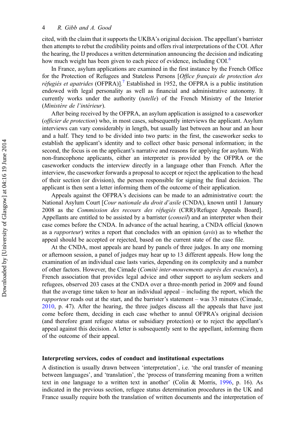cited, with the claim that it supports the UKBA's original decision. The appellant's barrister then attempts to rebut the credibility points and offers rival interpretations of the COI. After the hearing, the IJ produces a written determination announcing the decision and indicating how much weight has been given to each piece of evidence, including COI.<sup>[6](#page-13-0)</sup>

In France, asylum applications are examined in the first instance by the French Office for the Protection of Refugees and Stateless Persons [Office français de protection des *réfugiés et apatrides* (OFPRA)].<sup>[7](#page-13-0)</sup> Established in 1952, the OFPRA is a public institution endowed with legal personality as well as financial and administrative autonomy. It currently works under the authority (tutelle) of the French Ministry of the Interior (Ministère de l'intérieur).

After being received by the OFPRA, an asylum application is assigned to a caseworker (*officier de protection*) who, in most cases, subsequently interviews the applicant. Asylum interviews can vary considerably in length, but usually last between an hour and an hour and a half. They tend to be divided into two parts: in the first, the caseworker seeks to establish the applicant's identity and to collect other basic personal information; in the second, the focus is on the applicant's narrative and reasons for applying for asylum. With non-francophone applicants, either an interpreter is provided by the OFPRA or the caseworker conducts the interview directly in a language other than French. After the interview, the caseworker forwards a proposal to accept or reject the application to the head of their section (or division), the person responsible for signing the final decision. The applicant is then sent a letter informing them of the outcome of their application.

Appeals against the OFPRA's decisions can be made to an administrative court: the National Asylum Court [Cour nationale du droit d'asile (CNDA), known until 1 January 2008 as the Commission des recours des réfugiés (CRR)/Refugee Appeals Board]. Appellants are entitled to be assisted by a barrister (conseil) and an interpreter when their case comes before the CNDA. In advance of the actual hearing, a CNDA official (known as a *rapporteur*) writes a report that concludes with an opinion (*avis*) as to whether the appeal should be accepted or rejected, based on the current state of the case file.

At the CNDA, most appeals are heard by panels of three judges. In any one morning or afternoon session, a panel of judges may hear up to 13 different appeals. How long the examination of an individual case lasts varies, depending on its complexity and a number of other factors. However, the Cimade (Comité inter-mouvements auprès des evacuées), a French association that provides legal advice and other support to asylum seekers and refugees, observed 203 cases at the CNDA over a three-month period in 2009 and found that the average time taken to hear an individual appeal – including the report, which the rapporteur reads out at the start, and the barrister's statement – was 33 minutes (Cimade, [2010,](#page-14-0) p. 47). After the hearing, the three judges discuss all the appeals that have just come before them, deciding in each case whether to annul OFPRA's original decision (and therefore grant refugee status or subsidiary protection) or to reject the appellant's appeal against this decision. A letter is subsequently sent to the appellant, informing them of the outcome of their appeal.

#### Interpreting services, codes of conduct and institutional expectations

A distinction is usually drawn between 'interpretation', i.e. 'the oral transfer of meaning between languages', and 'translation', the 'process of transferring meaning from a written text in one language to a written text in another' (Colin & Morris, [1996](#page-14-0), p. 16). As indicated in the previous section, refugee status determination procedures in the UK and France usually require both the translation of written documents and the interpretation of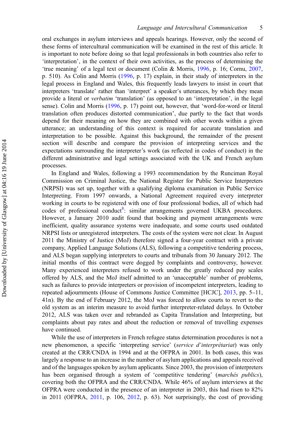oral exchanges in asylum interviews and appeals hearings. However, only the second of these forms of intercultural communication will be examined in the rest of this article. It is important to note before doing so that legal professionals in both countries also refer to 'interpretation', in the context of their own activities, as the process of determining the 'true meaning' of a legal text or document (Colin & Morris, [1996,](#page-14-0) p. 16; Cornu, [2007,](#page-14-0) p. 510). As Colin and Morris [\(1996,](#page-14-0) p. 17) explain, in their study of interpreters in the legal process in England and Wales, this frequently leads lawyers to insist in court that interpreters 'translate' rather than 'interpret' a speaker's utterances, by which they mean provide a literal or verbatim 'translation' (as opposed to an 'interpretation', in the legal sense). Colin and Morris [\(1996](#page-14-0), p. 17) point out, however, that 'word-for-word or literal translation often produces distorted communication', due partly to the fact that words depend for their meaning on how they are combined with other words within a given utterance; an understanding of this context is required for accurate translation and interpretation to be possible. Against this background, the remainder of the present section will describe and compare the provision of interpreting services and the expectations surrounding the interpreter's work (as reflected in codes of conduct) in the different administrative and legal settings associated with the UK and French asylum processes.

In England and Wales, following a 1993 recommendation by the Runciman Royal Commission on Criminal Justice, the National Register for Public Service Interpreters (NRPSI) was set up, together with a qualifying diploma examination in Public Service Interpreting. From 1997 onwards, a National Agreement required every interpreter working in courts to be registered with one of four professional bodies, all of which had codes of professional conduct<sup>[8](#page-13-0)</sup>: similar arrangements governed UKBA procedures. However, a January 2010 audit found that booking and payment arrangements were inefficient, quality assurance systems were inadequate, and some courts used outdated NRPSI lists or unregistered interpreters. The costs of the system were not clear. In August 2011 the Ministry of Justice (MoJ) therefore signed a four-year contract with a private company, Applied Language Solutions (ALS), following a competitive tendering process, and ALS began supplying interpreters to courts and tribunals from 30 January 2012. The initial months of this contract were dogged by complaints and controversy, however. Many experienced interpreters refused to work under the greatly reduced pay scales offered by ALS, and the MoJ itself admitted to an 'unacceptable' number of problems, such as failures to provide interpreters or provision of incompetent interpreters, leading to repeated adjournments (House of Commons Justice Committee [HCJC], [2013,](#page-14-0) pp. 5–11, 41n). By the end of February 2012, the MoJ was forced to allow courts to revert to the old system as an interim measure to avoid further interpreter-related delays. In October 2012, ALS was taken over and rebranded as Capita Translation and Interpreting, but complaints about pay rates and about the reduction or removal of travelling expenses have continued.

While the use of interpreters in French refugee status determination procedures is not a new phenomenon, a specific 'interpreting service' (service d'interprétariat) was only created at the CRR/CNDA in 1994 and at the OFPRA in 2001. In both cases, this was largely a response to an increase in the number of asylum applications and appeals received and of the languages spoken by asylum applicants. Since 2003, the provision of interpreters has been organised through a system of 'competitive tendering' (marchés publics), covering both the OFPRA and the CRR/CNDA. While 46% of asylum interviews at the OFPRA were conducted in the presence of an interpreter in 2003, this had risen to 82% in 2011 (OFPRA, [2011,](#page-15-0) p. 106, [2012](#page-15-0), p. 63). Not surprisingly, the cost of providing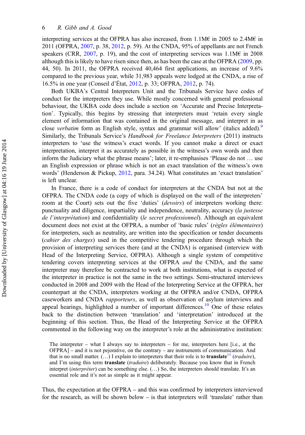interpreting services at the OFPRA has also increased, from 1.1M€ in 2005 to 2.4M€ in 2011 (OFPRA, [2007](#page-14-0), p. 38, [2012](#page-15-0), p. 59). At the CNDA, 95% of appellants are not French speakers (CRR, [2007](#page-14-0), p. 19), and the cost of interpreting services was  $1.1\text{M}\epsilon$  in 2008 although this is likely to have risen since then, as has been the case at the OFPRA [\(2009](#page-14-0), pp. 44, 50). In 2011, the OFPRA received 40,464 first applications, an increase of 9.6% compared to the previous year, while 31,983 appeals were lodged at the CNDA, a rise of 16.5% in one year (Conseil d'État, [2012,](#page-14-0) p. 33; OFPRA, [2012,](#page-15-0) p. 74).

Both UKBA's Central Interpreters Unit and the Tribunals Service have codes of conduct for the interpreters they use. While mostly concerned with general professional behaviour, the UKBA code does include a section on 'Accurate and Precise Interpretation'. Typically, this begins by stressing that interpreters must 'retain every single element of information that was contained in the original message, and interpret in as close verbatim form as English style, syntax and grammar will allow' (italics added).<sup>[9](#page-13-0)</sup> Similarly, the Tribunals Service's Handbook for Freelance Interpreters (2011) instructs interpreters to 'use the witness's exact words. If you cannot make a direct or exact interpretation, interpret it as accurately as possible in the witness's own words and then inform the Judiciary what the phrase means'; later, it re-emphasises 'Please do not … use an English expression or phrase which is not an exact translation of the witness's own words' (Henderson & Pickup, [2012,](#page-14-0) para. 34.24). What constitutes an 'exact translation' is left unclear.

In France, there is a code of conduct for interpreters at the CNDA but not at the OFPRA. The CNDA code (a copy of which is displayed on the wall of the interpreters' room at the Court) sets out the five 'duties' (*devoirs*) of interpreters working there: punctuality and diligence, impartiality and independence, neutrality, accuracy (la justesse de l'interprétation) and confidentiality (le secret professionnel). Although an equivalent document does not exist at the OFPRA, a number of 'basic rules' (règles élémentaires) for interpreters, such as neutrality, are written into the specification or tender documents (cahier des charges) used in the competitive tendering procedure through which the provision of interpreting services there (and at the CNDA) is organised (interview with Head of the Interpreting Service, OFPRA). Although a single system of competitive tendering covers interpreting services at the OFPRA and the CNDA, and the same interpreter may therefore be contracted to work at both institutions, what is expected of the interpreter in practice is not the same in the two settings. Semi-structured interviews conducted in 2008 and 2009 with the Head of the Interpreting Service at the OFPRA, her counterpart at the CNDA, interpreters working at the OFPRA and/or CNDA, OFPRA caseworkers and CNDA rapporteurs, as well as observation of asylum interviews and appeal hearings, highlighted a number of important differences.<sup>[10](#page-13-0)</sup> One of these relates back to the distinction between 'translation' and 'interpretation' introduced at the beginning of this section. Thus, the Head of the Interpreting Service at the OFPRA commented in the following way on the interpreter's role at the administrative institution:

Thus, the expectation at the OFPRA – and this was confirmed by interpreters interviewed for the research, as will be shown below – is that interpreters will 'translate' rather than

The interpreter – what I always say to interpreters – for me, interpreters here [i.e., at the OFPRA] – and it is not pejorative, on the contrary – are instruments of communication. And that is no small matter.  $(...)$  I explain to interpreters that their role is to **translate**<sup>[11](#page-13-0)</sup> (traduire), and I'm using this term translate (traduire) deliberately. Because you know that in French interpret (interpréter) can be something else. (…) So, the interpreters should translate. It's an essential role and it's not as simple as it might appear.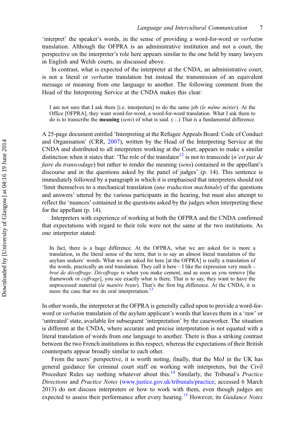'interpret' the speaker's words, in the sense of providing a word-for-word or verbatim translation. Although the OFPRA is an administrative institution and not a court, the perspective on the interpreter's role here appears similar to the one held by many lawyers in English and Welsh courts, as discussed above.

In contrast, what is expected of the interpreter at the CNDA, an administrative court, is not a literal or verbatim translation but instead the transmission of an equivalent message or meaning from one language to another. The following comment from the Head of the Interpreting Service at the CNDA makes this clear:

I am not sure that I ask them [i.e. interpreters] to do the same job (le même métier). At the Office [OFPRA], they want word-for-word, a word-for-word translation. What I ask them to do is to transcribe the meaning (sens) of what is said. (…) That is a fundamental difference.

A 25-page document entitled 'Interpreting at the Refugee Appeals Board: Code of Conduct and Organisation' (CRR, [2007](#page-14-0)), written by the Head of the Interpreting Service at the CNDA and distributed to all interpreters working at the Court, appears to make a similar distinction when it states that: 'The role of the translator<sup>[12](#page-13-0)</sup> is not to transcode (*n'est pas de* faire du transcodage) but rather to render the meaning (sens) contained in the appellant's discourse and in the questions asked by the panel of judges' (p. 14). This sentence is immediately followed by a paragraph in which it is emphasised that interpreters should not 'limit themselves to a mechanical translation (une traduction machinale) of the questions and answers' uttered by the various participants in the hearing, but must also attempt to reflect the 'nuances' contained in the questions asked by the judges when interpreting these for the appellant (p. 14).

Interpreters with experience of working at both the OFPRA and the CNDA confirmed that expectations with regard to their role were not the same at the two institutions. As one interpreter stated:

In fact, there is a huge difference. At the OFPRA, what we are asked for is more a translation, in the literal sense of the term, that is to say an almost literal translation of the asylum seekers' words. What we are asked for here [at the OFPRA] is really a translation of the words, practically an oral translation. They call it here  $-1$  like the expression very much  $$ brut de décoffrage. Décoffrage is when you make cement, and as soon as you remove [the framework or coffrage], you see exactly what is there. That is to say, they want to have the unprocessed material *(la matière brute)*. That's the first big difference. At the CNDA, it is more the case that we do oral interpretation.<sup>1</sup>

In other words, the interpreter at the OFPRA is generally called upon to provide a word-forword or *verbatim* translation of the asylum applicant's words that leaves them in a 'raw' or 'untreated' state, available for subsequent 'interpretation' by the caseworker. The situation is different at the CNDA, where accurate and precise interpretation is not equated with a literal translation of words from one language to another. There is thus a striking contrast between the two French institutions in this respect, whereas the expectations of their British counterparts appear broadly similar to each other.

From the users' perspective, it is worth noting, finally, that the MoJ in the UK has general guidance for criminal court staff on working with interpreters, but the Civil Procedure Rules say nothing whatever about this.<sup>[14](#page-13-0)</sup> Similarly, the Tribunal's Practice Directions and Practice Notes [\(www.justice.gov.uk/tribunals/practice;](http://www.justice.gov.uk/tribunals/practice) accessed 6 March 2013) do not discuss interpreters or how to work with them, even though judges are expected to assess their performance after every hearing.<sup>[15](#page-13-0)</sup> However, its Guidance Notes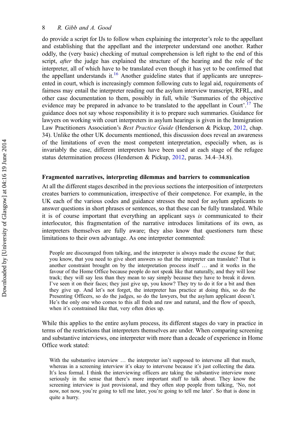do provide a script for IJs to follow when explaining the interpreter's role to the appellant and establishing that the appellant and the interpreter understand one another. Rather oddly, the (very basic) checking of mutual comprehension is left right to the end of this script, *after* the judge has explained the structure of the hearing and the role of the interpreter, all of which have to be translated even though it has yet to be confirmed that the appellant understands it.[16](#page-13-0) Another guideline states that if applicants are unrepresented in court, which is increasingly common following cuts to legal aid, requirements of fairness may entail the interpreter reading out the asylum interview transcript, RFRL, and other case documentation to them, possibly in full, while 'Summaries of the objective evidence may be prepared in advance to be translated to the appellant in Court'.<sup>[17](#page-13-0)</sup> The guidance does not say whose responsibility it is to prepare such summaries. Guidance for lawyers on working with court interpreters in asylum hearings is given in the Immigration Law Practitioners Association's Best Practice Guide (Henderson & Pickup, [2012](#page-14-0), chap. 34). Unlike the other UK documents mentioned, this discussion does reveal an awareness of the limitations of even the most competent interpretation, especially when, as is invariably the case, different interpreters have been used at each stage of the refugee status determination process (Henderson & Pickup, [2012,](#page-14-0) paras. 34.4–34.8).

### Fragmented narratives, interpreting dilemmas and barriers to communication

At all the different stages described in the previous sections the interposition of interpreters creates barriers to communication, irrespective of their competence. For example, in the UK each of the various codes and guidance stresses the need for asylum applicants to answer questions in short phrases or sentences, so that these can be fully translated. While it is of course important that everything an applicant says is communicated to their interlocutor, this fragmentation of the narrative introduces limitations of its own, as interpreters themselves are fully aware; they also know that questioners turn these limitations to their own advantage. As one interpreter commented:

People are discouraged from talking, and the interpreter is always made the excuse for that; you know, that you need to give short answers so that the interpreter can translate? That is another constraint brought on by the interpretation process itself … and it works in the favour of the Home Office because people do not speak like that naturally, and they will lose track; they will say less than they mean to say simply because they have to break it down. I've seen it on their faces; they just give up, you know? They try to do it for a bit and then they give up. And let's not forget, the interpreter has practice at doing this, so do the Presenting Officers, so do the judges, so do the lawyers, but the asylum applicant doesn't. He's the only one who comes to this all fresh and raw and natural, and the flow of speech, when it's constrained like that, very often dries up.

While this applies to the entire asylum process, its different stages do vary in practice in terms of the restrictions that interpreters themselves are under. When comparing screening and substantive interviews, one interpreter with more than a decade of experience in Home Office work stated:

With the substantive interview ... the interpreter isn't supposed to intervene all that much, whereas in a screening interview it's okay to intervene because it's just collecting the data. It's less formal. I think the interviewing officers are taking the substantive interview more seriously in the sense that there's more important stuff to talk about. They know the screening interview is just provisional, and they often stop people from talking, 'No, not now, not now, you're going to tell me later, you're going to tell me later'. So that is done in quite a hurry.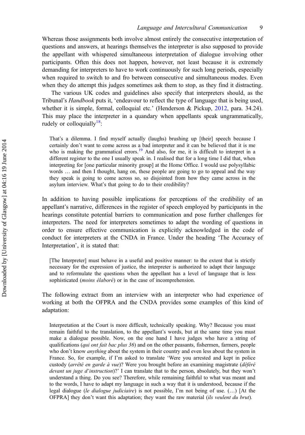Whereas those assignments both involve almost entirely the consecutive interpretation of questions and answers, at hearings themselves the interpreter is also supposed to provide the appellant with whispered simultaneous interpretation of dialogue involving other participants. Often this does not happen, however, not least because it is extremely demanding for interpreters to have to work continuously for such long periods, especially when required to switch to and fro between consecutive and simultaneous modes. Even when they do attempt this judges sometimes ask them to stop, as they find it distracting.

The various UK codes and guidelines also specify that interpreters should, as the Tribunal's Handbook puts it, 'endeavour to reflect the type of language that is being used, whether it is simple, formal, colloquial etc.' (Henderson & Pickup, [2012,](#page-14-0) para. 34.24). This may place the interpreter in a quandary when appellants speak ungrammatically, rudely or colloquially<sup>18</sup>:

That's a dilemma. I find myself actually (laughs) brushing up [their] speech because I certainly don't want to come across as a bad interpreter and it can be believed that it is me who is making the grammatical errors.<sup>[19](#page-13-0)</sup> And also, for me, it is difficult to interpret in a different register to the one I usually speak in. I realised that for a long time I did that, when interpreting for [one particular minority group] at the Home Office. I would use polysyllabic words … and then I thought, hang on, these people are going to go to appeal and the way they speak is going to come across so, so disjointed from how they came across in the asylum interview. What's that going to do to their credibility?

In addition to having possible implications for perceptions of the credibility of an appellant's narrative, differences in the register of speech employed by participants in the hearings constitute potential barriers to communication and pose further challenges for interpreters. The need for interpreters sometimes to adapt the wording of questions in order to ensure effective communication is explicitly acknowledged in the code of conduct for interpreters at the CNDA in France. Under the heading 'The Accuracy of Interpretation', it is stated that:

[The Interpreter] must behave in a useful and positive manner: to the extent that is strictly necessary for the expression of justice, the interpreter is authorized to adapt their language and to reformulate the questions when the appellant has a level of language that is less sophisticated (moins élaboré) or in the case of incomprehension.

The following extract from an interview with an interpreter who had experience of working at both the OFPRA and the CNDA provides some examples of this kind of adaptation:

Interpretation at the Court is more difficult, technically speaking. Why? Because you must remain faithful to the translation, to the appellant's words, but at the same time you must make a dialogue possible. Now, on the one hand I have judges who have a string of qualifications (*qui ont fait bac plus 36*) and on the other peasants, fishermen, farmers, people who don't know *anything* about the system in their country and even less about the system in France. So, for example, if I'm asked to translate 'Were you arrested and kept in police custody (arrêté en garde à vue)? Were you brought before an examining magistrate (déféré devant un juge d'instruction)?' I can translate that to the person, absolutely, but they won't understand a thing. Do you see? Therefore, while remaining faithful to what was meant and to the words, I have to adapt my language in such a way that it is understood, because if the legal dialogue (le dialogue judiciaire) is not possible, I'm not being of use. (…) [At the OFPRA] they don't want this adaptation; they want the raw material (ils veulent du brut).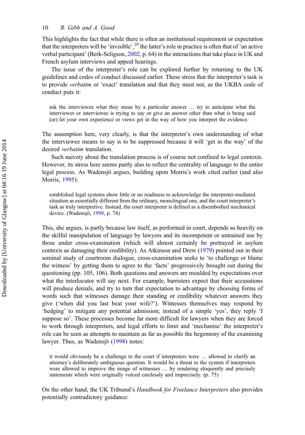This highlights the fact that while there is often an institutional requirement or expectation that the interpreters will be 'invisible',  $^{20}$  $^{20}$  $^{20}$  the latter's role in practice is often that of 'an active verbal participant' (Berk-Seligson, [2002](#page-14-0), p. 64) in the interactions that take place in UK and French asylum interviews and appeal hearings.

The issue of the interpreter's role can be explored further by returning to the UK guidelines and codes of conduct discussed earlier. These stress that the interpreter's task is to provide verbatim or 'exact' translation and that they must not, as the UKBA code of conduct puts it:

ask the interviewee what they mean by a particular answer … try to anticipate what the interviewer or interviewee is trying to say or give an answer other than what is being said (or) let your own experience or views get in the way of how you interpret the evidence.

The assumption here, very clearly, is that the interpreter's own understanding of what the interviewee means to say is to be suppressed because it will 'get in the way' of the desired verbatim translation.

Such naivety about the translation process is of course not confined to legal contexts. However, its stress here seems partly also to reflect the centrality of language to the entire legal process. As Wadensjö argues, building upon Morris's work cited earlier (and also Morris, [1995\)](#page-14-0):

established legal systems show little or no readiness to acknowledge the interpreter-mediated situation as essentially different from the ordinary, monolingual one, and the court interpreter's task as truly interpretive. Instead, the court interpreter is defined as a disembodied mechanical device. (Wadensjö, [1998](#page-15-0), p. 74)

This, she argues, is partly because law itself, as performed in court, depends so heavily on the skilful manipulation of language by lawyers and its incompetent or untrained use by those under cross-examination (which will almost certainly be portrayed in asylum contexts as damaging their credibility). As Atkinson and Drew [\(1979](#page-14-0)) pointed out in their seminal study of courtroom dialogue, cross-examination seeks to 'to challenge or blame the witness' by getting them to agree to the 'facts' progressively brought out during the questioning (pp. 105, 106). Both questions and answers are moulded by expectations over what the interlocutor will say next. For example, barristers expect that their accusations will produce denials, and try to turn that expectation to advantage by choosing forms of words such that witnesses damage their standing or credibility whatever answers they give ('when did you last beat your wife?'). Witnesses themselves may respond by 'hedging' to mitigate any potential admission; instead of a simple 'yes', they reply 'I suppose so'. These processes become far more difficult for lawyers when they are forced to work through interpreters, and legal efforts to limit and 'mechanise' the interpreter's role can be seen as attempts to maintain as far as possible the hegemony of the examining lawyer. Thus, as Wadensjö ([1998\)](#page-15-0) notes:

it would obviously be a challenge to the court if interpreters were … allowed to clarify an attorney's deliberately ambiguous question. It would be a threat to the system if interpreters were allowed to improve the image of witnesses … by rendering eloquently and precisely statements which were originally voiced carelessly and imprecisely. (p. 75)

On the other hand, the UK Tribunal's Handbook for Freelance Interpreters also provides potentially contradictory guidance: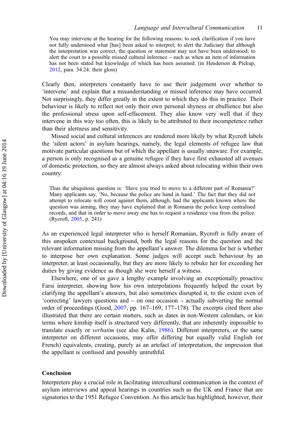You may intervene at the hearing for the following reasons: to seek clarification if you have not fully understood what [has] been asked to interpret; to alert the Judiciary that although the interpretation was correct, the question or statement may not have been understood; to alert the court to a possible missed cultural inference – such as when an item of information has not been stated but knowledge of which has been assumed. (in Henderson & Pickup, [2012,](#page-14-0) para. 34.24; their gloss)

Clearly then, interpreters constantly have to use their judgement over whether to 'intervene' and explain that a misunderstanding or missed inference may have occurred. Not surprisingly, they differ greatly in the extent to which they do this in practice. Their behaviour is likely to reflect not only their own personal shyness or ebullience but also the professional stress upon self-effacement. They also know very well that if they intervene in this way too often, this is likely to be attributed to their incompetence rather than their alertness and sensitivity.

Missed social and cultural inferences are rendered more likely by what Rycroft labels the 'silent actors' in asylum hearings, namely, the legal elements of refugee law that motivate particular questions but of which the appellant is usually unaware. For example, a person is only recognised as a genuine refugee if they have first exhausted all avenues of domestic protection, so they are almost always asked about relocating within their own country:

Thus the ubiquitous question is: 'Have you tried to move to a different part of Romania?' Many applicants say, 'No, because the police are hand in hand.' The fact that they did not attempt to relocate will count against them, although, had the applicants known where the question was aiming, they may have explained that in Romania the police keep centralised records, and that in order to move away one has to request a residence visa from the police. (Rycroft, [2005,](#page-15-0) p. 241)

As an experienced legal interpreter who is herself Romanian, Rycroft is fully aware of this unspoken contextual background, both the legal reasons for the question and the relevant information missing from the appellant's answer. The dilemma for her is whether to interpose her own explanation. Some judges will accept such behaviour by an interpreter, at least occasionally, but they are more likely to rebuke her for exceeding her duties by giving evidence as though she were herself a witness.

Elsewhere, one of us gave a lengthy example involving an exceptionally proactive Farsi interpreter, showing how his own interpolations frequently helped the court by clarifying the appellant's answers, but also sometimes disrupted it, to the extent even of 'correcting' lawyers questions and – on one occasion – actually subverting the normal order of proceedings (Good, [2007,](#page-14-0) pp. 167–169, 177–178). The excerpts cited there also illustrated that there are certain matters, such as dates in non-Western calendars, or kin terms where kinship itself is structured very differently, that are inherently impossible to translate exactly or verbatim (see also Kalin, [1986](#page-14-0)). Different interpreters, or the same interpreter on different occasions, may offer differing but equally valid English (or French) equivalents, creating, purely as an artefact of interpretation, the impression that the appellant is confused and possibly untruthful.

# Conclusion

Interpreters play a crucial role in facilitating intercultural communication in the context of asylum interviews and appeal hearings in countries such as the UK and France that are signatories to the 1951 Refugee Convention. As this article has highlighted, however, their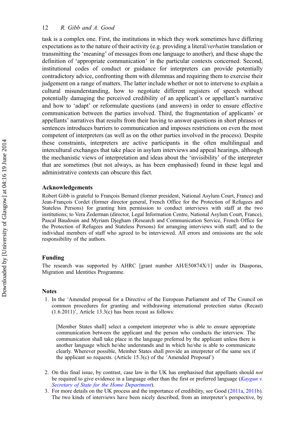#### <span id="page-12-0"></span>12 R. Gibb and A. Good

task is a complex one. First, the institutions in which they work sometimes have differing expectations as to the nature of their activity (e.g. providing a literal/verbatim translation or transmitting the 'meaning' of messages from one language to another), and these shape the definition of 'appropriate communication' in the particular contexts concerned. Second, institutional codes of conduct or guidance for interpreters can provide potentially contradictory advice, confronting them with dilemmas and requiring them to exercise their judgement on a range of matters. The latter include whether or not to intervene to explain a cultural misunderstanding, how to negotiate different registers of speech without potentially damaging the perceived credibility of an applicant's or appellant's narrative and how to 'adapt' or reformulate questions (and answers) in order to ensure effective communication between the parties involved. Third, the fragmentation of applicants' or appellants' narratives that results from their having to answer questions in short phrases or sentences introduces barriers to communication and imposes restrictions on even the most competent of interpreters (as well as on the other parties involved in the process). Despite these constraints, interpreters are active participants in the often multilingual and intercultural exchanges that take place in asylum interviews and appeal hearings, although the mechanistic views of interpretation and ideas about the 'invisibility' of the interpreter that are sometimes (but not always, as has been emphasised) found in these legal and administrative contexts can obscure this fact.

#### Acknowledgements

Robert Gibb is grateful to François Bernard (former president, National Asylum Court, France) and Jean-François Cordet (former director general, French Office for the Protection of Refugees and Stateless Persons) for granting him permission to conduct interviews with staff at the two institutions; to Vera Zederman (director, Legal Information Centre, National Asylum Court, France), Pascal Baudouin and Myriam Djegham (Research and Communication Service, French Office for the Protection of Refugees and Stateless Persons) for arranging interviews with staff; and to the individual members of staff who agreed to be interviewed. All errors and omissions are the sole responsibility of the authors.

#### Funding

The research was supported by AHRC [grant number AH/E50874X/1] under its Diasporas, Migration and Identities Programme.

#### **Notes**

1. In the 'Amended proposal for a Directive of the European Parliament and of The Council on common procedures for granting and withdrawing international protection status (Recast)  $(1.6.2011)$ <sup>'</sup>, Article 13.3(c) has been recast as follows:

[Member States shall] select a competent interpreter who is able to ensure appropriate communication between the applicant and the person who conducts the interview. The communication shall take place in the language preferred by the applicant unless there is another language which he/she understands and in which he/she is able to communicate clearly. Wherever possible, Member States shall provide an interpreter of the same sex if the applicant so requests. (Article 15.3(c) of the 'Amended Proposal')

- 2. On this final issue, by contrast, case law in the UK has emphasised that appellants should not be required to give evidence in a language other than the first or preferred language ([Kaygun v.](#page-14-0) [Secretary of State for the Home Department](#page-14-0)).
- 3. For more details on the UK process and the importance of credibility, see Good ([2011a](#page-14-0), [2011b](#page-14-0)). The two kinds of interviews have been nicely described, from an interpreter's perspective, by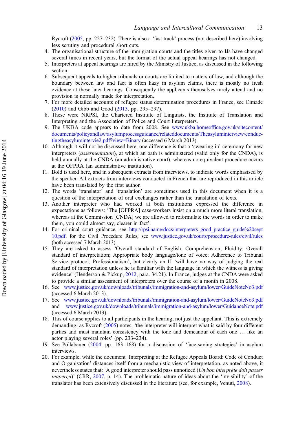<span id="page-13-0"></span>Rycroft ([2005,](#page-15-0) pp. 227–232). There is also a 'fast track' process (not described here) involving less scrutiny and procedural short cuts.

- 4. The organisational structure of the immigration courts and the titles given to IJs have changed several times in recent years, but the format of the actual appeal hearings has not changed.
- 5. Interpreters at appeal hearings are hired by the Ministry of Justice, as discussed in the following section.
- 6. Subsequent appeals to higher tribunals or courts are limited to matters of law, and although the boundary between law and fact is often hazy in asylum claims, there is mostly no fresh evidence at these later hearings. Consequently the applicants themselves rarely attend and no provision is normally made for interpretation.
- 7. For more detailed accounts of refugee status determination procedures in France, see Cimade ([2010\)](#page-14-0) and Gibb and Good ([2013,](#page-14-0) pp. 295–297).
- 8. These were NRPSI, the Chartered Institute of Linguists, the Institute of Translation and Interpreting and the Association of Police and Court Interpreters.
- 9. The UKBA code appears to date from 2008. See [www.ukba.homeoffice.gov.uk/sitecontent/](http://www.ukba.homeoffice.gov.uk/sitecontent/documents/policyandlaw/asylumprocessguidance/relateddocuments/Theasyluminterview/conductingtheasylumintervie2.pdf?view=Binary) [documents/policyandlaw/asylumprocessguidance/relateddocuments/Theasyluminterview/conduc](http://www.ukba.homeoffice.gov.uk/sitecontent/documents/policyandlaw/asylumprocessguidance/relateddocuments/Theasyluminterview/conductingtheasylumintervie2.pdf?view=Binary)[tingtheasylumintervie2.pdf?view=Binary](http://www.ukba.homeoffice.gov.uk/sitecontent/documents/policyandlaw/asylumprocessguidance/relateddocuments/Theasyluminterview/conductingtheasylumintervie2.pdf?view=Binary) (accessed 6 March 2013).
- 10. Although it will not be discussed here, one difference is that a 'swearing in' ceremony for new interpreters (*assermentation*), at which an oath is administered (valid only for the CNDA), is held annually at the CNDA (an administrative court), whereas no equivalent procedure occurs at the OFPRA (an administrative institution).
- 11. Bold is used here, and in subsequent extracts from interviews, to indicate words emphasised by the speaker. All extracts from interviews conducted in French that are reproduced in this article have been translated by the first author.
- 12. The words 'translator' and 'translation' are sometimes used in this document when it is a question of the interpretation of oral exchanges rather than the translation of texts.
- 13. Another interpreter who had worked at both institutions expressed the difference in expectations as follows: 'The [OFPRA] case-workers insist on a much more literal translation, whereas at the Commission [CNDA] we are allowed to reformulate the words in order to make them, you could almost say, clearer in fact'.
- 14. For criminal court guidance, see [http://rpsi.name/docs/interpreters\\_good\\_practice\\_guide%20sept](http://rpsi.name/docs/interpreters_good_practice_guide%20sept10.pdf) [10.pdf;](http://rpsi.name/docs/interpreters_good_practice_guide%20sept10.pdf) for the Civil Procedure Rules, see [www.justice.gov.uk/courts/procedure-rules/civil/rules](http://www.justice.gov.uk/courts/procedure-rules/civil/rules) (both accessed 7 March 2013).
- 15. They are asked to assess 'Overall standard of English; Comprehension; Fluidity; Overall standard of interpretation; Appropriate body language/tone of voice; Adherence to Tribunal Service protocol; Professionalism', but clearly an IJ 'will have no way of judging the real standard of interpretation unless he is familiar with the language in which the witness is giving evidence' (Henderson & Pickup, [2012,](#page-14-0) para. 34.21). In France, judges at the CNDA were asked to provide a similar assessment of interpreters over the course of a month in 2008.
- 16. See [www.justice.gov.uk/downloads/tribunals/immigration-and-asylum/lower/GuideNoteNo3.pdf](http://www.justice.gov.uk/downloads/tribunals/immigration-and-asylum/lower/GuideNoteNo3.pdf) (accessed 6 March 2013).
- 17. See [www.justice.gov.uk/downloads/tribunals/immigration-and-asylum/lower/GuideNoteNo3.pdf](http://www.justice.gov.uk/downloads/tribunals/immigration-and-asylum/lower/GuideNoteNo3.pdf) and [www.justice.gov.uk/downloads/tribunals/immigration-and-asylum/lower/GuidanceNote.pdf](http://www.justice.gov.uk/downloads/tribunals/immigration-and-asylum/lower/GuidanceNote.pdf) (accessed 6 March 2013).
- 18. This of course applies to all participants in the hearing, not just the appellant. This is extremely demanding; as Rycroft [\(2005](#page-15-0)) notes, 'the interpreter will interpret what is said by four different parties and must maintain consistency with the tone and demeanour of each one … like an actor playing several roles' (pp. 233–234).
- 19. See Pöllabauer ([2004,](#page-15-0) pp. 163–168) for a discussion of 'face-saving strategies' in asylum interviews.
- 20. For example, while the document 'Interpreting at the Refugee Appeals Board: Code of Conduct and Organisation' distances itself from a mechanistic view of interpretation, as noted above, it nevertheless states that: 'A good interpreter should pass unnoticed (Un bon interprète doit passer *inaperçu*)' (CRR, [2007](#page-14-0), p. 14). The problematic nature of ideas about the 'invisibility' of the translator has been extensively discussed in the literature (see, for example, Venuti, [2008](#page-15-0)).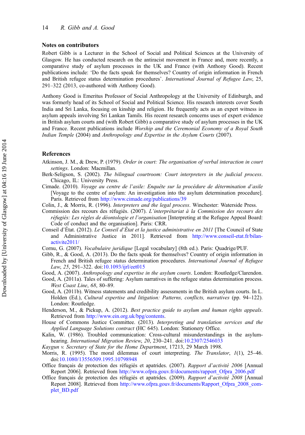#### <span id="page-14-0"></span>Notes on contributors

Robert Gibb is a Lecturer in the School of Social and Political Sciences at the University of Glasgow. He has conducted research on the antiracist movement in France and, more recently, a comparative study of asylum processes in the UK and France (with Anthony Good). Recent publications include: 'Do the facts speak for themselves? Country of origin information in French and British refugee status determination procedures'. International Journal of Refugee Law, 25, 291–322 (2013, co-authored with Anthony Good).

Anthony Good is Emeritus Professor of Social Anthropology at the University of Edinburgh, and was formerly head of its School of Social and Political Science. His research interests cover South India and Sri Lanka, focusing on kinship and religion. He frequently acts as an expert witness in asylum appeals involving Sri Lankan Tamils. His recent research concerns uses of expert evidence in British asylum courts and (with Robert Gibb) a comparative study of asylum processes in the UK and France. Recent publications include Worship and the Ceremonial Economy of a Royal South Indian Temple (2004) and Anthropology and Expertise in the Asylum Courts (2007).

#### References

- Atkinson, J. M., & Drew, P. (1979). Order in court: The organisation of verbal interaction in court settings. London: Macmillan.
- Berk-Seligson, S. (2002). The bilingual courtroom: Court interpreters in the judicial process. Chicago, IL: University Press.
- Cimade. (2010). Voyage au centre de l'asile: Enquête sur la procédure de détermination d'asile [Voyage to the centre of asylum: An investigation into the asylum determination procedure]. Paris. Retrieved from <http://www.cimade.org/publications/39>
- Colin, J., & Morris, R. (1996). Interpreters and the legal process. Winchester: Waterside Press.
- Commission des recours des réfugiés. (2007). L'interprétariat à la Commission des recours des réfugiés: Les règles de déontologie et l'organisation [Interpreting at the Refugee Appeal Board: Code of conduct and the organisation]. Paris: CRR.
- Conseil d'État. (2012). Le Conseil d'État et la justice administrative en 2011 [The Council of State and Administrative Justice in 2011]. Retrieved from [http://www.conseil-etat.fr/bilan](http://www.conseil-etat.fr/bilan-activite2011/)[activite2011/](http://www.conseil-etat.fr/bilan-activite2011/)
- Cornu, G. (2007). Vocabulaire juridique [Legal vocabulary] (8th ed.). Paris: Quadrige/PUF.
- Gibb, R., & Good, A. (2013). Do the facts speak for themselves? Country of origin information in French and British refugee status determination procedures. International Journal of Refugee Law, 25, 291–322. doi:[10.1093/ijrl/eet015](http://dx.doi.org/10.1093/ijrl/eet015)
- Good, A. (2007). Anthropology and expertise in the asylum courts. London: Routledge/Clarendon.
- Good, A. (2011a). Tales of suffering: Asylum narratives in the refugee status determination process. West Coast Line, 68, 80–89.
- Good, A. (2011b). Witness statements and credibility assessments in the British asylum courts. In L. Holden (Ed.), Cultural expertise and litigation: Patterns, conflicts, narratives (pp. 94–122). London: Routledge.
- Henderson, M., & Pickup, A. (2012). Best practice guide to asylum and human rights appeals. Retrieved from [http://www.ein.org.uk/bpg/contents.](http://www.ein.org.uk/bpg/contents)
- House of Commons Justice Committee. (2013). Interpreting and translation services and the Applied Language Solutions contract (HC 645). London: Stationery Office.
- Kalin, W. (1986). Troubled communication: Cross-cultural misunderstandings in the asylum-hearing. International Migration Review, 20, 230-241. doi:[10.2307/2546033](http://dx.doi.org/10.2307/2546033)
- Kaygun v. Secretary of State for the Home Department, 17213, 29 March 1998.
- Morris, R. (1995). The moral dilemmas of court interpreting. The Translator, 1(1), 25-46. doi[:10.1080/13556509.1995.10798948](http://dx.doi.org/10.1080/13556509.1995.10798948)
- Office français de protection des réfugiés et apatrides. (2007). Rapport d'activité 2006 [Annual Report 2006]. Retrieved from [http://www.ofpra.gouv.fr/documents/rapport\\_Ofpra\\_2006.pdf](http://www.ofpra.gouv.fr/documents/rapport_Ofpra_2006.pdf)
- Office français de protection des réfugiés et apatrides. (2009). Rapport d'activité 2008 [Annual Report 2008]. Retrieved from [http://www.ofpra.gouv.fr/documents/Rapport\\_Ofpra\\_2008\\_com](http://www.ofpra.gouv.fr/documents/Rapport_Ofpra_2008_complet_BD.pdf)[plet\\_BD.pdf](http://www.ofpra.gouv.fr/documents/Rapport_Ofpra_2008_complet_BD.pdf)